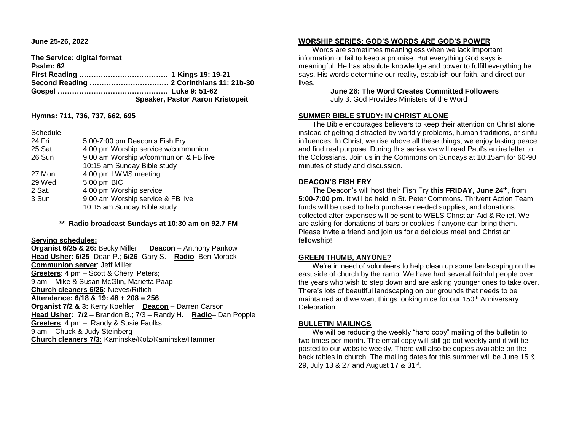**June 25-26, 2022** 

**The Service: digital format Psalm: 62 First Reading ………………………………. 1 Kings 19: 19-21 Second Reading …………………………… 2 Corinthians 11: 21b-30 Gospel ………………………………………. Luke 9: 51-62 Speaker, Pastor Aaron Kristopeit**

**Hymns: 711, 736, 737, 662, 695**

#### **Schedule**

| 24 Fri | 5:00-7:00 pm Deacon's Fish Fry        |
|--------|---------------------------------------|
| 25 Sat | 4:00 pm Worship service w/communion   |
| 26 Sun | 9:00 am Worship w/communion & FB live |
|        | 10:15 am Sunday Bible study           |
| 27 Mon | 4:00 pm LWMS meeting                  |
| 29 Wed | 5:00 pm BIC                           |
| 2 Sat. | 4:00 pm Worship service               |
| 3 Sun  | 9:00 am Worship service & FB live     |
|        | 10:15 am Sunday Bible study           |
|        |                                       |

**\*\* Radio broadcast Sundays at 10:30 am on 92.7 FM**

## **Serving schedules:**

**Organist 6/25 & 26:** Becky Miller **Deacon** – Anthony Pankow **Head Usher: 6/25**–Dean P.; **6/26**–Gary S. **Radio**–Ben Morack **Communion server**: Jeff Miller **Greeters**: 4 pm – Scott & Cheryl Peters; 9 am – Mike & Susan McGlin, Marietta Paap **Church cleaners 6/26**: Nieves/Rittich **Attendance: 6/18 & 19: 48 + 208 = 256 Organist 7/2 & 3:** Kerry Koehler **Deacon** – Darren Carson **Head Usher: 7/2** – Brandon B.; 7/3 – Randy H. **Radio**– Dan Popple **Greeters**: 4 pm – Randy & Susie Faulks 9 am – Chuck & Judy Steinberg **Church cleaners 7/3:** Kaminske/Kolz/Kaminske/Hammer

#### **WORSHIP SERIES: GOD'S WORDS ARE GOD'S POWER**

 Words are sometimes meaningless when we lack important information or fail to keep a promise. But everything God says is meaningful. He has absolute knowledge and power to fulfill everything he says. His words determine our reality, establish our faith, and direct our lives.

> **June 26: The Word Creates Committed Followers** July 3: God Provides Ministers of the Word

# **SUMMER BIBLE STUDY: IN CHRIST ALONE**

 The Bible encourages believers to keep their attention on Christ alone instead of getting distracted by worldly problems, human traditions, or sinful influences. In Christ, we rise above all these things; we enjoy lasting peace and find real purpose. During this series we will read Paul's entire letter to the Colossians. Join us in the Commons on Sundays at 10:15am for 60-90 minutes of study and discussion.

## **DEACON'S FISH FRY**

 The Deacon's will host their Fish Fry **this FRIDAY, June 24 th**, from **5:00-7:00 pm**. It will be held in St. Peter Commons. Thrivent Action Team funds will be used to help purchase needed supplies, and donations collected after expenses will be sent to WELS Christian Aid & Relief. We are asking for donations of bars or cookies if anyone can bring them. Please invite a friend and join us for a delicious meal and Christian fellowship!

## **GREEN THUMB, ANYONE?**

 We're in need of volunteers to help clean up some landscaping on the east side of church by the ramp. We have had several faithful people over the years who wish to step down and are asking younger ones to take over. There's lots of beautiful landscaping on our grounds that needs to be maintained and we want things looking nice for our 150<sup>th</sup> Anniversary Celebration.

## **BULLETIN MAILINGS**

 We will be reducing the weekly "hard copy" mailing of the bulletin to two times per month. The email copy will still go out weekly and it will be posted to our website weekly. There will also be copies available on the back tables in church. The mailing dates for this summer will be June 15 & 29, July 13 & 27 and August 17 & 31<sup>st</sup>.